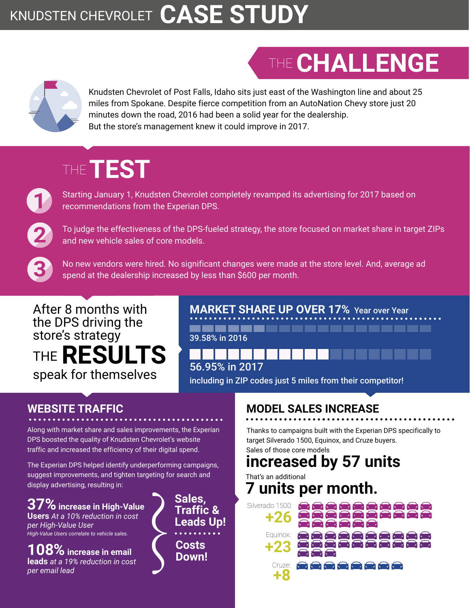### KNUDSTEN CHEVROLET **CASE STUDY**

# THE **CHALLENGE**



Knudsten Chevrolet of Post Falls, Idaho sits just east of the Washington line and about 25 miles from Spokane. Despite fierce competition from an AutoNation Chevy store just 20 minutes down the road, 2016 had been a solid year for the dealership. But the store's management knew it could improve in 2017.

## THE **TEST**

Starting January 1, Knudsten Chevrolet completely revamped its advertising for 2017 based on recommendations from the Experian DPS.

**2 2**

**1**

**1**

To judge the effectiveness of the DPS-fueled strategy, the store focused on market share in target ZIPs and new vehicle sales of core models.

**3 3** No new vendors were hired. No significant changes were made at the store level. And, average ad spend at the dealership increased by less than \$600 per month.

#### After 8 months with the DPS driving the store's strategy speak for themselves THE **RESULTS**

**MARKET SHARE UP OVER 17%** Year over Year ,,,,,,,,,,,,,,,,,,,,,, 39.58% in 2016

including in ZIP codes just 5 miles from their competitor! 56.95% in 2017

#### **WEBSITE TRAFFIC**

Along with market share and sales improvements, the Experian DPS boosted the quality of Knudsten Chevrolet's website traffic and increased the efficiency of their digital spend.

The Experian DPS helped identify underperforming campaigns, suggest improvements, and tighten targeting for search and display advertising, resulting in:

**37% increase in High-Value Users** *At a 10% reduction in cost per High-Value User High-Value Users correlate to vehicle sales.* 

**10 increase in email leads** *at a 19% reduction in cost per email lead*

 $\left\{\begin{matrix} 2 \\ 5 \end{matrix}\right\}$ **Sales, Traffic & Leads Up! Costs Down!**

#### **MODEL SALES INCREASE**

Thanks to campaigns built with the Experian DPS specifically to target Silverado 1500, Equinox, and Cruze buyers. Sales of those core models

### **increased by 57 units**

That's an additional **7 units per month.**